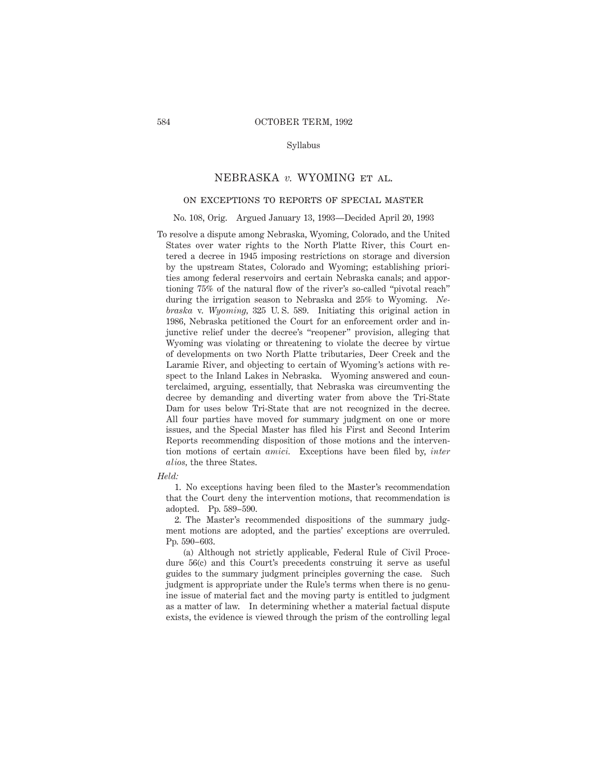## Syllabus

# NEBRASKA *v.* WYOMING et al.

# on exceptions to reports of special master

#### No. 108, Orig. Argued January 13, 1993—Decided April 20, 1993

To resolve a dispute among Nebraska, Wyoming, Colorado, and the United States over water rights to the North Platte River, this Court entered a decree in 1945 imposing restrictions on storage and diversion by the upstream States, Colorado and Wyoming; establishing priorities among federal reservoirs and certain Nebraska canals; and apportioning 75% of the natural flow of the river's so-called "pivotal reach" during the irrigation season to Nebraska and 25% to Wyoming. *Nebraska* v. *Wyoming,* 325 U. S. 589. Initiating this original action in 1986, Nebraska petitioned the Court for an enforcement order and injunctive relief under the decree's "reopener" provision, alleging that Wyoming was violating or threatening to violate the decree by virtue of developments on two North Platte tributaries, Deer Creek and the Laramie River, and objecting to certain of Wyoming's actions with respect to the Inland Lakes in Nebraska. Wyoming answered and counterclaimed, arguing, essentially, that Nebraska was circumventing the decree by demanding and diverting water from above the Tri-State Dam for uses below Tri-State that are not recognized in the decree. All four parties have moved for summary judgment on one or more issues, and the Special Master has filed his First and Second Interim Reports recommending disposition of those motions and the intervention motions of certain *amici.* Exceptions have been filed by, *inter alios,* the three States.

#### *Held:*

1. No exceptions having been filed to the Master's recommendation that the Court deny the intervention motions, that recommendation is adopted. Pp. 589–590.

2. The Master's recommended dispositions of the summary judgment motions are adopted, and the parties' exceptions are overruled. Pp. 590–603.

(a) Although not strictly applicable, Federal Rule of Civil Procedure 56(c) and this Court's precedents construing it serve as useful guides to the summary judgment principles governing the case. Such judgment is appropriate under the Rule's terms when there is no genuine issue of material fact and the moving party is entitled to judgment as a matter of law. In determining whether a material factual dispute exists, the evidence is viewed through the prism of the controlling legal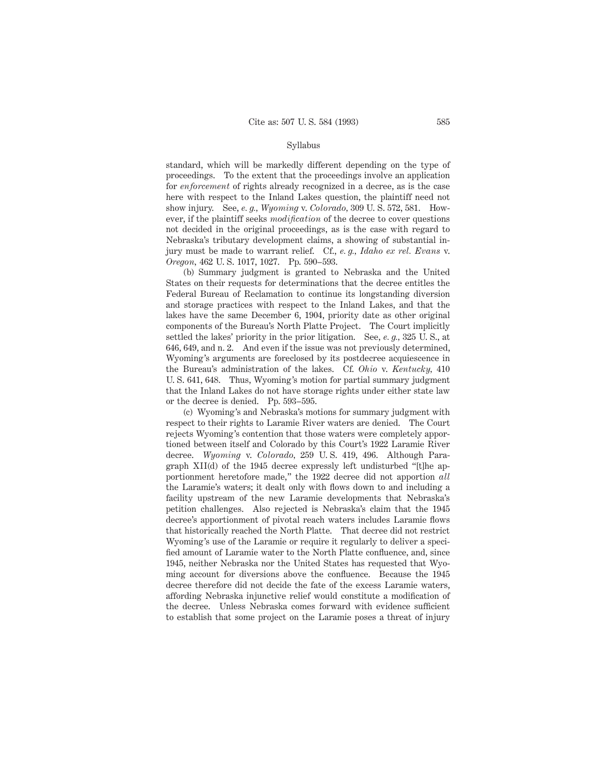## Syllabus

standard, which will be markedly different depending on the type of proceedings. To the extent that the proceedings involve an application for *enforcement* of rights already recognized in a decree, as is the case here with respect to the Inland Lakes question, the plaintiff need not show injury. See, *e. g., Wyoming* v. *Colorado,* 309 U. S. 572, 581. However, if the plaintiff seeks *modification* of the decree to cover questions not decided in the original proceedings, as is the case with regard to Nebraska's tributary development claims, a showing of substantial injury must be made to warrant relief. Cf., *e. g., Idaho ex rel. Evans* v. *Oregon,* 462 U. S. 1017, 1027. Pp. 590–593.

(b) Summary judgment is granted to Nebraska and the United States on their requests for determinations that the decree entitles the Federal Bureau of Reclamation to continue its longstanding diversion and storage practices with respect to the Inland Lakes, and that the lakes have the same December 6, 1904, priority date as other original components of the Bureau's North Platte Project. The Court implicitly settled the lakes' priority in the prior litigation. See, *e. g.,* 325 U. S., at 646, 649, and n. 2. And even if the issue was not previously determined, Wyoming's arguments are foreclosed by its postdecree acquiescence in the Bureau's administration of the lakes. Cf. *Ohio* v. *Kentucky,* 410 U. S. 641, 648. Thus, Wyoming's motion for partial summary judgment that the Inland Lakes do not have storage rights under either state law or the decree is denied. Pp. 593–595.

(c) Wyoming's and Nebraska's motions for summary judgment with respect to their rights to Laramie River waters are denied. The Court rejects Wyoming's contention that those waters were completely apportioned between itself and Colorado by this Court's 1922 Laramie River decree. *Wyoming* v. *Colorado,* 259 U. S. 419, 496. Although Paragraph XII(d) of the 1945 decree expressly left undisturbed "[t]he apportionment heretofore made," the 1922 decree did not apportion *all* the Laramie's waters; it dealt only with flows down to and including a facility upstream of the new Laramie developments that Nebraska's petition challenges. Also rejected is Nebraska's claim that the 1945 decree's apportionment of pivotal reach waters includes Laramie flows that historically reached the North Platte. That decree did not restrict Wyoming's use of the Laramie or require it regularly to deliver a specified amount of Laramie water to the North Platte confluence, and, since 1945, neither Nebraska nor the United States has requested that Wyoming account for diversions above the confluence. Because the 1945 decree therefore did not decide the fate of the excess Laramie waters, affording Nebraska injunctive relief would constitute a modification of the decree. Unless Nebraska comes forward with evidence sufficient to establish that some project on the Laramie poses a threat of injury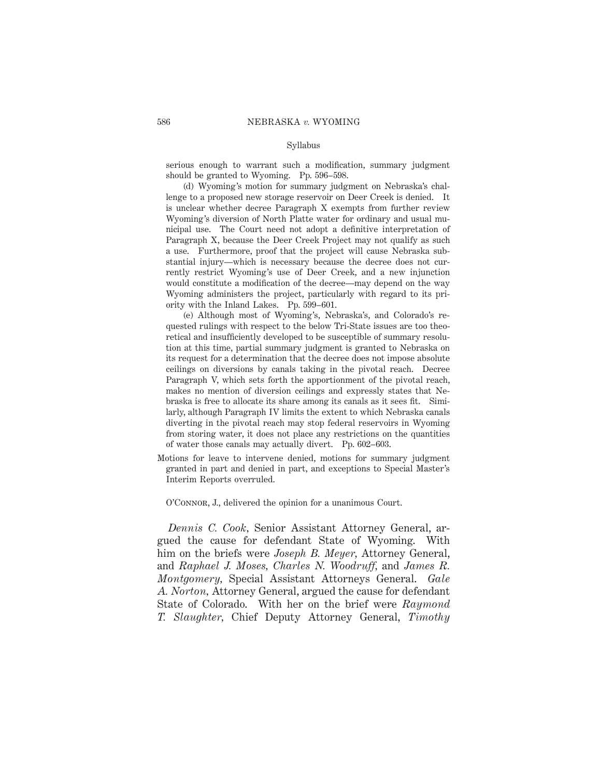## Syllabus

serious enough to warrant such a modification, summary judgment should be granted to Wyoming. Pp. 596–598.

(d) Wyoming's motion for summary judgment on Nebraska's challenge to a proposed new storage reservoir on Deer Creek is denied. It is unclear whether decree Paragraph X exempts from further review Wyoming's diversion of North Platte water for ordinary and usual municipal use. The Court need not adopt a definitive interpretation of Paragraph X, because the Deer Creek Project may not qualify as such a use. Furthermore, proof that the project will cause Nebraska substantial injury—which is necessary because the decree does not currently restrict Wyoming's use of Deer Creek, and a new injunction would constitute a modification of the decree—may depend on the way Wyoming administers the project, particularly with regard to its priority with the Inland Lakes. Pp. 599–601.

(e) Although most of Wyoming's, Nebraska's, and Colorado's requested rulings with respect to the below Tri-State issues are too theoretical and insufficiently developed to be susceptible of summary resolution at this time, partial summary judgment is granted to Nebraska on its request for a determination that the decree does not impose absolute ceilings on diversions by canals taking in the pivotal reach. Decree Paragraph V, which sets forth the apportionment of the pivotal reach, makes no mention of diversion ceilings and expressly states that Nebraska is free to allocate its share among its canals as it sees fit. Similarly, although Paragraph IV limits the extent to which Nebraska canals diverting in the pivotal reach may stop federal reservoirs in Wyoming from storing water, it does not place any restrictions on the quantities of water those canals may actually divert. Pp. 602–603.

Motions for leave to intervene denied, motions for summary judgment granted in part and denied in part, and exceptions to Special Master's Interim Reports overruled.

O'Connor, J., delivered the opinion for a unanimous Court.

*Dennis C. Cook,* Senior Assistant Attorney General, argued the cause for defendant State of Wyoming. With him on the briefs were *Joseph B. Meyer,* Attorney General, and *Raphael J. Moses, Charles N. Woodruff,* and *James R. Montgomery,* Special Assistant Attorneys General. *Gale A. Norton,* Attorney General, argued the cause for defendant State of Colorado. With her on the brief were *Raymond T. Slaughter,* Chief Deputy Attorney General, *Timothy*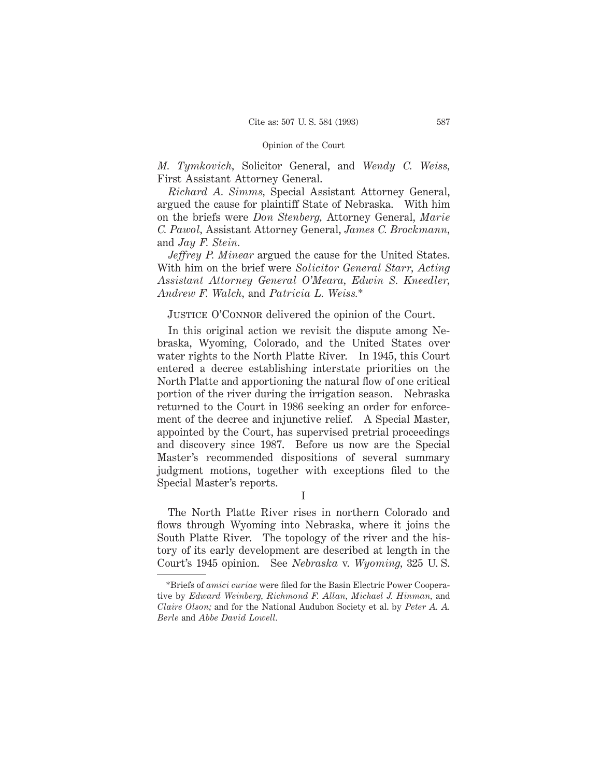*M. Tymkovich,* Solicitor General, and *Wendy C. Weiss,* First Assistant Attorney General.

*Richard A. Simms,* Special Assistant Attorney General, argued the cause for plaintiff State of Nebraska. With him on the briefs were *Don Stenberg,* Attorney General, *Marie C. Pawol,* Assistant Attorney General, *James C. Brockmann,* and *Jay F. Stein.*

*Jeffrey P. Minear* argued the cause for the United States. With him on the brief were *Solicitor General Starr, Acting Assistant Attorney General O'Meara, Edwin S. Kneedler, Andrew F. Walch,* and *Patricia L. Weiss.*\*

# JUSTICE O'CONNOR delivered the opinion of the Court.

In this original action we revisit the dispute among Nebraska, Wyoming, Colorado, and the United States over water rights to the North Platte River. In 1945, this Court entered a decree establishing interstate priorities on the North Platte and apportioning the natural flow of one critical portion of the river during the irrigation season. Nebraska returned to the Court in 1986 seeking an order for enforcement of the decree and injunctive relief. A Special Master, appointed by the Court, has supervised pretrial proceedings and discovery since 1987. Before us now are the Special Master's recommended dispositions of several summary judgment motions, together with exceptions filed to the Special Master's reports.

I

The North Platte River rises in northern Colorado and flows through Wyoming into Nebraska, where it joins the South Platte River. The topology of the river and the history of its early development are described at length in the Court's 1945 opinion. See *Nebraska* v. *Wyoming,* 325 U. S.

<sup>\*</sup>Briefs of *amici curiae* were filed for the Basin Electric Power Cooperative by *Edward Weinberg, Richmond F. Allan, Michael J. Hinman,* and *Claire Olson;* and for the National Audubon Society et al. by *Peter A. A. Berle* and *Abbe David Lowell.*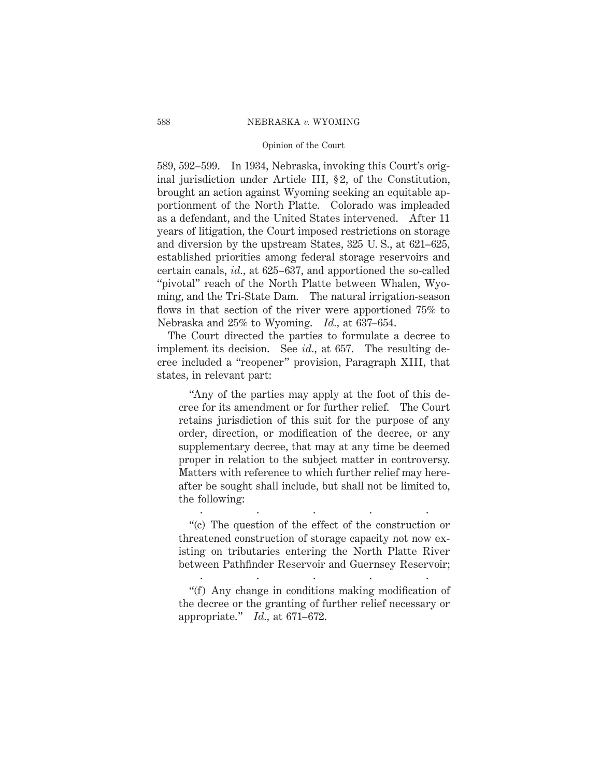## Opinion of the Court

589, 592–599. In 1934, Nebraska, invoking this Court's original jurisdiction under Article III, §2, of the Constitution, brought an action against Wyoming seeking an equitable apportionment of the North Platte. Colorado was impleaded as a defendant, and the United States intervened. After 11 years of litigation, the Court imposed restrictions on storage and diversion by the upstream States, 325 U. S., at 621–625, established priorities among federal storage reservoirs and certain canals, *id.,* at 625–637, and apportioned the so-called "pivotal" reach of the North Platte between Whalen, Wyoming, and the Tri-State Dam. The natural irrigation-season flows in that section of the river were apportioned 75% to Nebraska and 25% to Wyoming. *Id.,* at 637–654.

The Court directed the parties to formulate a decree to implement its decision. See *id.,* at 657. The resulting decree included a "reopener" provision, Paragraph XIII, that states, in relevant part:

"Any of the parties may apply at the foot of this decree for its amendment or for further relief. The Court retains jurisdiction of this suit for the purpose of any order, direction, or modification of the decree, or any supplementary decree, that may at any time be deemed proper in relation to the subject matter in controversy. Matters with reference to which further relief may hereafter be sought shall include, but shall not be limited to, the following:

"(c) The question of the effect of the construction or threatened construction of storage capacity not now existing on tributaries entering the North Platte River between Pathfinder Reservoir and Guernsey Reservoir; .....

.....

"(f) Any change in conditions making modification of the decree or the granting of further relief necessary or appropriate." *Id.,* at 671–672.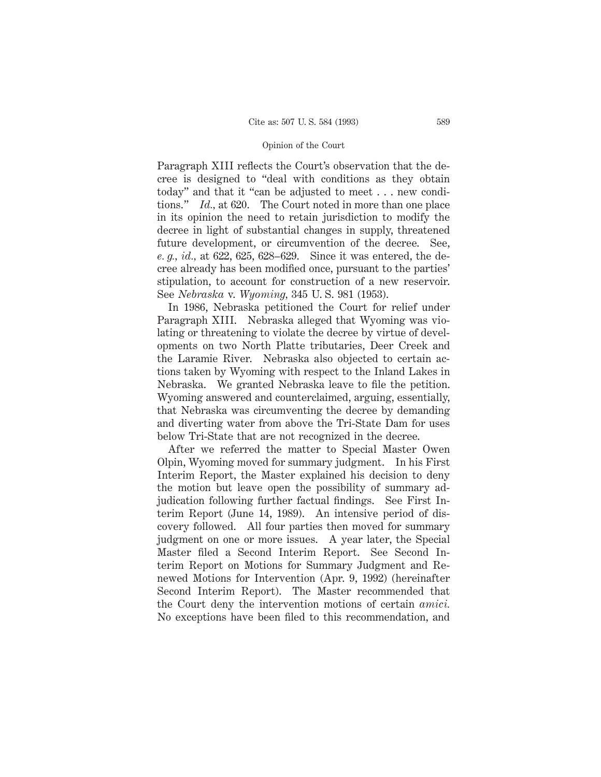Paragraph XIII reflects the Court's observation that the decree is designed to "deal with conditions as they obtain today" and that it "can be adjusted to meet . . . new conditions." *Id.,* at 620. The Court noted in more than one place in its opinion the need to retain jurisdiction to modify the decree in light of substantial changes in supply, threatened future development, or circumvention of the decree. See, *e. g., id.,* at 622, 625, 628–629. Since it was entered, the decree already has been modified once, pursuant to the parties' stipulation, to account for construction of a new reservoir. See *Nebraska* v. *Wyoming,* 345 U. S. 981 (1953).

In 1986, Nebraska petitioned the Court for relief under Paragraph XIII. Nebraska alleged that Wyoming was violating or threatening to violate the decree by virtue of developments on two North Platte tributaries, Deer Creek and the Laramie River. Nebraska also objected to certain actions taken by Wyoming with respect to the Inland Lakes in Nebraska. We granted Nebraska leave to file the petition. Wyoming answered and counterclaimed, arguing, essentially, that Nebraska was circumventing the decree by demanding and diverting water from above the Tri-State Dam for uses below Tri-State that are not recognized in the decree.

After we referred the matter to Special Master Owen Olpin, Wyoming moved for summary judgment. In his First Interim Report, the Master explained his decision to deny the motion but leave open the possibility of summary adjudication following further factual findings. See First Interim Report (June 14, 1989). An intensive period of discovery followed. All four parties then moved for summary judgment on one or more issues. A year later, the Special Master filed a Second Interim Report. See Second Interim Report on Motions for Summary Judgment and Renewed Motions for Intervention (Apr. 9, 1992) (hereinafter Second Interim Report). The Master recommended that the Court deny the intervention motions of certain *amici.* No exceptions have been filed to this recommendation, and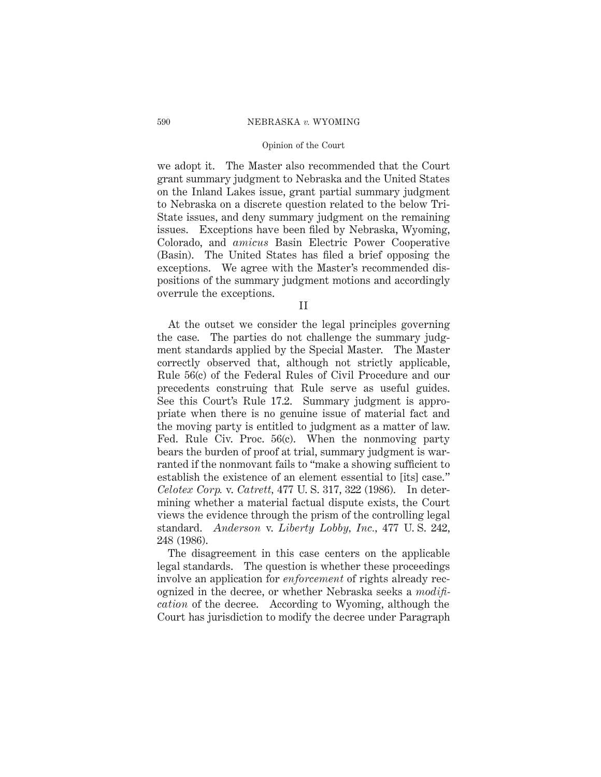## Opinion of the Court

we adopt it. The Master also recommended that the Court grant summary judgment to Nebraska and the United States on the Inland Lakes issue, grant partial summary judgment to Nebraska on a discrete question related to the below Tri-State issues, and deny summary judgment on the remaining issues. Exceptions have been filed by Nebraska, Wyoming, Colorado, and *amicus* Basin Electric Power Cooperative (Basin). The United States has filed a brief opposing the exceptions. We agree with the Master's recommended dispositions of the summary judgment motions and accordingly overrule the exceptions.

II

At the outset we consider the legal principles governing the case. The parties do not challenge the summary judgment standards applied by the Special Master. The Master correctly observed that, although not strictly applicable, Rule 56(c) of the Federal Rules of Civil Procedure and our precedents construing that Rule serve as useful guides. See this Court's Rule 17.2. Summary judgment is appropriate when there is no genuine issue of material fact and the moving party is entitled to judgment as a matter of law. Fed. Rule Civ. Proc. 56(c). When the nonmoving party bears the burden of proof at trial, summary judgment is warranted if the nonmovant fails to "make a showing sufficient to establish the existence of an element essential to [its] case." *Celotex Corp.* v. *Catrett,* 477 U. S. 317, 322 (1986). In determining whether a material factual dispute exists, the Court views the evidence through the prism of the controlling legal standard. *Anderson* v. *Liberty Lobby, Inc.,* 477 U. S. 242, 248 (1986).

The disagreement in this case centers on the applicable legal standards. The question is whether these proceedings involve an application for *enforcement* of rights already recognized in the decree, or whether Nebraska seeks a *modification* of the decree. According to Wyoming, although the Court has jurisdiction to modify the decree under Paragraph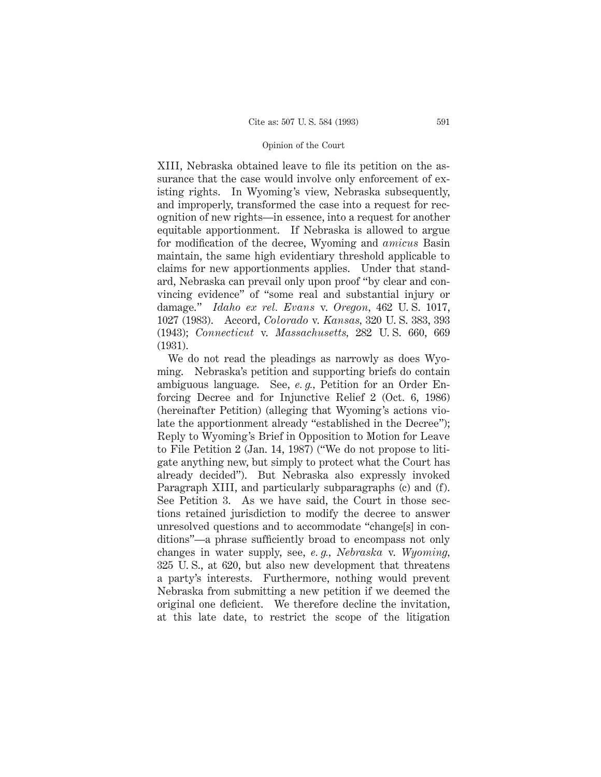XIII, Nebraska obtained leave to file its petition on the assurance that the case would involve only enforcement of existing rights. In Wyoming's view, Nebraska subsequently, and improperly, transformed the case into a request for recognition of new rights—in essence, into a request for another equitable apportionment. If Nebraska is allowed to argue for modification of the decree, Wyoming and *amicus* Basin maintain, the same high evidentiary threshold applicable to claims for new apportionments applies. Under that standard, Nebraska can prevail only upon proof "by clear and convincing evidence" of "some real and substantial injury or damage." *Idaho ex rel. Evans* v. *Oregon,* 462 U. S. 1017, 1027 (1983). Accord, *Colorado* v. *Kansas,* 320 U. S. 383, 393 (1943); *Connecticut* v. *Massachusetts,* 282 U. S. 660, 669 (1931).

We do not read the pleadings as narrowly as does Wyoming. Nebraska's petition and supporting briefs do contain ambiguous language. See, *e. g.,* Petition for an Order Enforcing Decree and for Injunctive Relief 2 (Oct. 6, 1986) (hereinafter Petition) (alleging that Wyoming's actions violate the apportionment already "established in the Decree"); Reply to Wyoming's Brief in Opposition to Motion for Leave to File Petition 2 (Jan. 14, 1987) ("We do not propose to litigate anything new, but simply to protect what the Court has already decided"). But Nebraska also expressly invoked Paragraph XIII, and particularly subparagraphs (c) and (f). See Petition 3. As we have said, the Court in those sections retained jurisdiction to modify the decree to answer unresolved questions and to accommodate "change[s] in conditions"—a phrase sufficiently broad to encompass not only changes in water supply, see, *e. g., Nebraska* v. *Wyoming,* 325 U. S., at 620, but also new development that threatens a party's interests. Furthermore, nothing would prevent Nebraska from submitting a new petition if we deemed the original one deficient. We therefore decline the invitation, at this late date, to restrict the scope of the litigation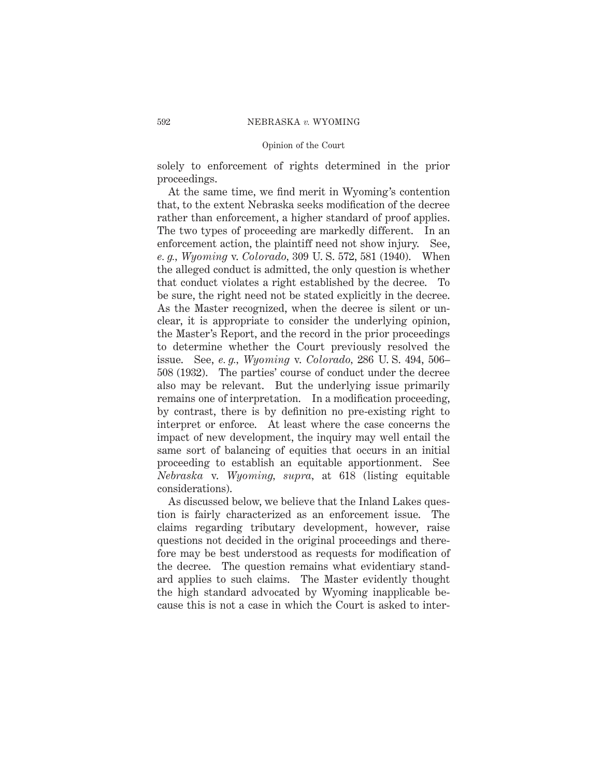solely to enforcement of rights determined in the prior proceedings.

At the same time, we find merit in Wyoming's contention that, to the extent Nebraska seeks modification of the decree rather than enforcement, a higher standard of proof applies. The two types of proceeding are markedly different. In an enforcement action, the plaintiff need not show injury. See, *e. g., Wyoming* v. *Colorado,* 309 U. S. 572, 581 (1940). When the alleged conduct is admitted, the only question is whether that conduct violates a right established by the decree. To be sure, the right need not be stated explicitly in the decree. As the Master recognized, when the decree is silent or unclear, it is appropriate to consider the underlying opinion, the Master's Report, and the record in the prior proceedings to determine whether the Court previously resolved the issue. See, *e. g., Wyoming* v. *Colorado,* 286 U. S. 494, 506– 508 (1932). The parties' course of conduct under the decree also may be relevant. But the underlying issue primarily remains one of interpretation. In a modification proceeding, by contrast, there is by definition no pre-existing right to interpret or enforce. At least where the case concerns the impact of new development, the inquiry may well entail the same sort of balancing of equities that occurs in an initial proceeding to establish an equitable apportionment. See *Nebraska* v. *Wyoming, supra,* at 618 (listing equitable considerations).

As discussed below, we believe that the Inland Lakes question is fairly characterized as an enforcement issue. The claims regarding tributary development, however, raise questions not decided in the original proceedings and therefore may be best understood as requests for modification of the decree. The question remains what evidentiary standard applies to such claims. The Master evidently thought the high standard advocated by Wyoming inapplicable because this is not a case in which the Court is asked to inter-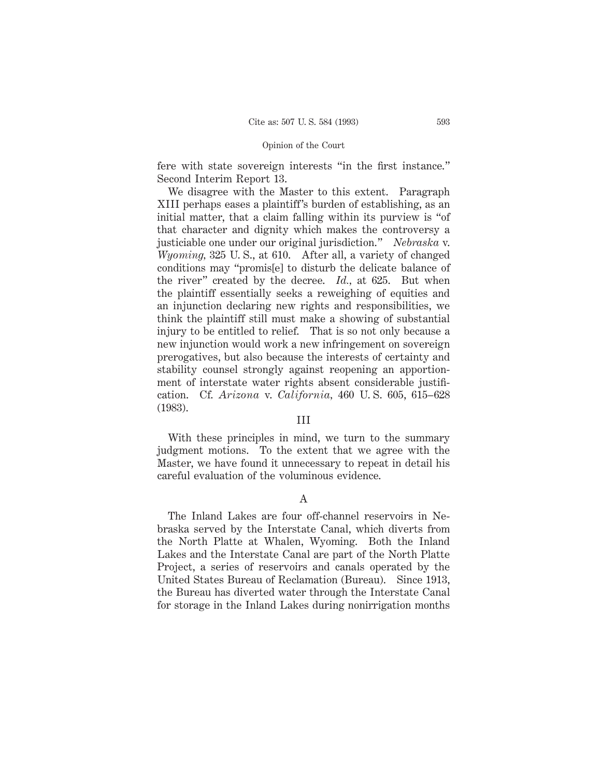fere with state sovereign interests "in the first instance." Second Interim Report 13.

We disagree with the Master to this extent. Paragraph XIII perhaps eases a plaintiff's burden of establishing, as an initial matter, that a claim falling within its purview is "of that character and dignity which makes the controversy a justiciable one under our original jurisdiction." *Nebraska* v. *Wyoming,* 325 U. S., at 610. After all, a variety of changed conditions may "promis[e] to disturb the delicate balance of the river" created by the decree. *Id.,* at 625. But when the plaintiff essentially seeks a reweighing of equities and an injunction declaring new rights and responsibilities, we think the plaintiff still must make a showing of substantial injury to be entitled to relief. That is so not only because a new injunction would work a new infringement on sovereign prerogatives, but also because the interests of certainty and stability counsel strongly against reopening an apportionment of interstate water rights absent considerable justification. Cf. *Arizona* v. *California,* 460 U. S. 605, 615–628 (1983).

# III

With these principles in mind, we turn to the summary judgment motions. To the extent that we agree with the Master, we have found it unnecessary to repeat in detail his careful evaluation of the voluminous evidence.

# A

The Inland Lakes are four off-channel reservoirs in Nebraska served by the Interstate Canal, which diverts from the North Platte at Whalen, Wyoming. Both the Inland Lakes and the Interstate Canal are part of the North Platte Project, a series of reservoirs and canals operated by the United States Bureau of Reclamation (Bureau). Since 1913, the Bureau has diverted water through the Interstate Canal for storage in the Inland Lakes during nonirrigation months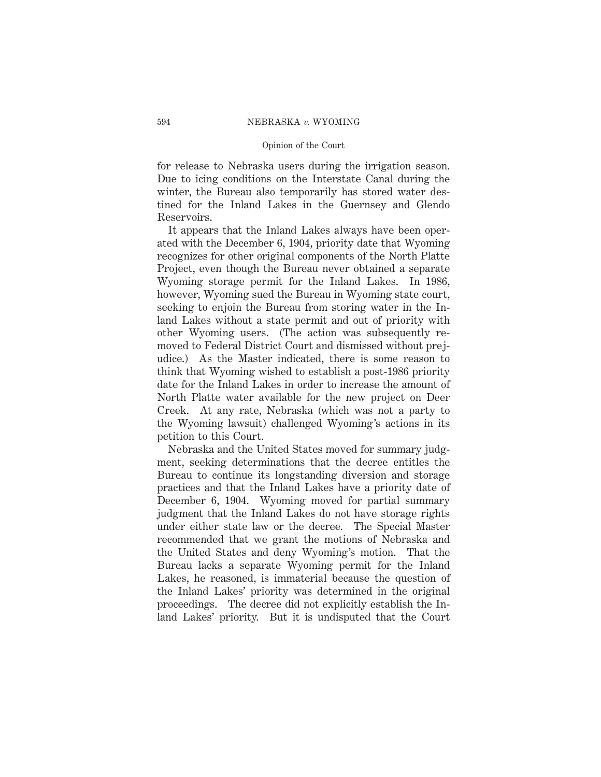## Opinion of the Court

for release to Nebraska users during the irrigation season. Due to icing conditions on the Interstate Canal during the winter, the Bureau also temporarily has stored water destined for the Inland Lakes in the Guernsey and Glendo Reservoirs.

It appears that the Inland Lakes always have been operated with the December 6, 1904, priority date that Wyoming recognizes for other original components of the North Platte Project, even though the Bureau never obtained a separate Wyoming storage permit for the Inland Lakes. In 1986, however, Wyoming sued the Bureau in Wyoming state court, seeking to enjoin the Bureau from storing water in the Inland Lakes without a state permit and out of priority with other Wyoming users. (The action was subsequently removed to Federal District Court and dismissed without prejudice.) As the Master indicated, there is some reason to think that Wyoming wished to establish a post-1986 priority date for the Inland Lakes in order to increase the amount of North Platte water available for the new project on Deer Creek. At any rate, Nebraska (which was not a party to the Wyoming lawsuit) challenged Wyoming's actions in its petition to this Court.

Nebraska and the United States moved for summary judgment, seeking determinations that the decree entitles the Bureau to continue its longstanding diversion and storage practices and that the Inland Lakes have a priority date of December 6, 1904. Wyoming moved for partial summary judgment that the Inland Lakes do not have storage rights under either state law or the decree. The Special Master recommended that we grant the motions of Nebraska and the United States and deny Wyoming's motion. That the Bureau lacks a separate Wyoming permit for the Inland Lakes, he reasoned, is immaterial because the question of the Inland Lakes' priority was determined in the original proceedings. The decree did not explicitly establish the Inland Lakes' priority. But it is undisputed that the Court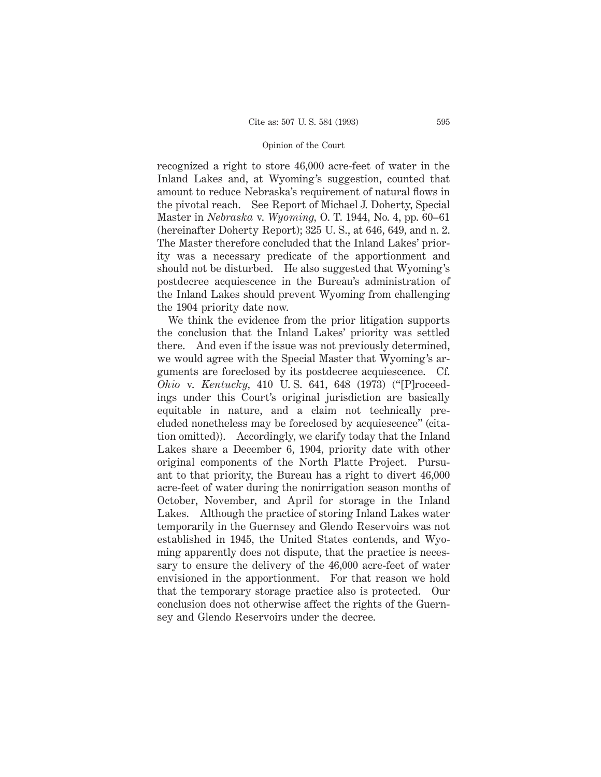recognized a right to store 46,000 acre-feet of water in the Inland Lakes and, at Wyoming's suggestion, counted that amount to reduce Nebraska's requirement of natural flows in the pivotal reach. See Report of Michael J. Doherty, Special Master in *Nebraska* v. *Wyoming,* O. T. 1944, No. 4, pp. 60–61 (hereinafter Doherty Report); 325 U. S., at 646, 649, and n. 2. The Master therefore concluded that the Inland Lakes' priority was a necessary predicate of the apportionment and should not be disturbed. He also suggested that Wyoming's postdecree acquiescence in the Bureau's administration of the Inland Lakes should prevent Wyoming from challenging the 1904 priority date now.

We think the evidence from the prior litigation supports the conclusion that the Inland Lakes' priority was settled there. And even if the issue was not previously determined, we would agree with the Special Master that Wyoming's arguments are foreclosed by its postdecree acquiescence. Cf. *Ohio* v. *Kentucky,* 410 U. S. 641, 648 (1973) ("[P]roceedings under this Court's original jurisdiction are basically equitable in nature, and a claim not technically precluded nonetheless may be foreclosed by acquiescence" (citation omitted)). Accordingly, we clarify today that the Inland Lakes share a December 6, 1904, priority date with other original components of the North Platte Project. Pursuant to that priority, the Bureau has a right to divert 46,000 acre-feet of water during the nonirrigation season months of October, November, and April for storage in the Inland Lakes. Although the practice of storing Inland Lakes water temporarily in the Guernsey and Glendo Reservoirs was not established in 1945, the United States contends, and Wyoming apparently does not dispute, that the practice is necessary to ensure the delivery of the 46,000 acre-feet of water envisioned in the apportionment. For that reason we hold that the temporary storage practice also is protected. Our conclusion does not otherwise affect the rights of the Guernsey and Glendo Reservoirs under the decree.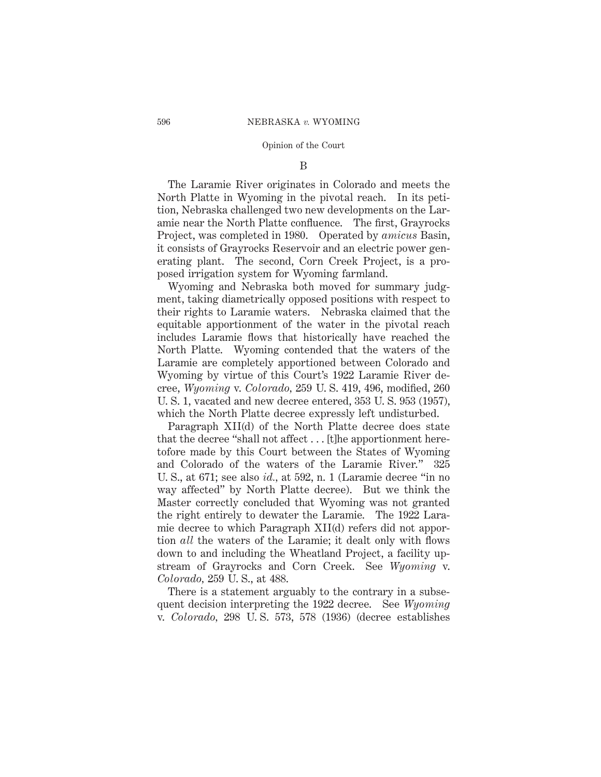# B

The Laramie River originates in Colorado and meets the North Platte in Wyoming in the pivotal reach. In its petition, Nebraska challenged two new developments on the Laramie near the North Platte confluence. The first, Grayrocks Project, was completed in 1980. Operated by *amicus* Basin, it consists of Grayrocks Reservoir and an electric power generating plant. The second, Corn Creek Project, is a proposed irrigation system for Wyoming farmland.

Wyoming and Nebraska both moved for summary judgment, taking diametrically opposed positions with respect to their rights to Laramie waters. Nebraska claimed that the equitable apportionment of the water in the pivotal reach includes Laramie flows that historically have reached the North Platte. Wyoming contended that the waters of the Laramie are completely apportioned between Colorado and Wyoming by virtue of this Court's 1922 Laramie River decree, *Wyoming* v. *Colorado,* 259 U. S. 419, 496, modified, 260 U. S. 1, vacated and new decree entered, 353 U. S. 953 (1957), which the North Platte decree expressly left undisturbed.

Paragraph XII(d) of the North Platte decree does state that the decree "shall not affect . . . [t]he apportionment heretofore made by this Court between the States of Wyoming and Colorado of the waters of the Laramie River." 325 U. S., at 671; see also *id.,* at 592, n. 1 (Laramie decree "in no way affected" by North Platte decree). But we think the Master correctly concluded that Wyoming was not granted the right entirely to dewater the Laramie. The 1922 Laramie decree to which Paragraph XII(d) refers did not apportion *all* the waters of the Laramie; it dealt only with flows down to and including the Wheatland Project, a facility upstream of Grayrocks and Corn Creek. See *Wyoming* v. *Colorado,* 259 U. S., at 488.

There is a statement arguably to the contrary in a subsequent decision interpreting the 1922 decree. See *Wyoming* v. *Colorado,* 298 U. S. 573, 578 (1936) (decree establishes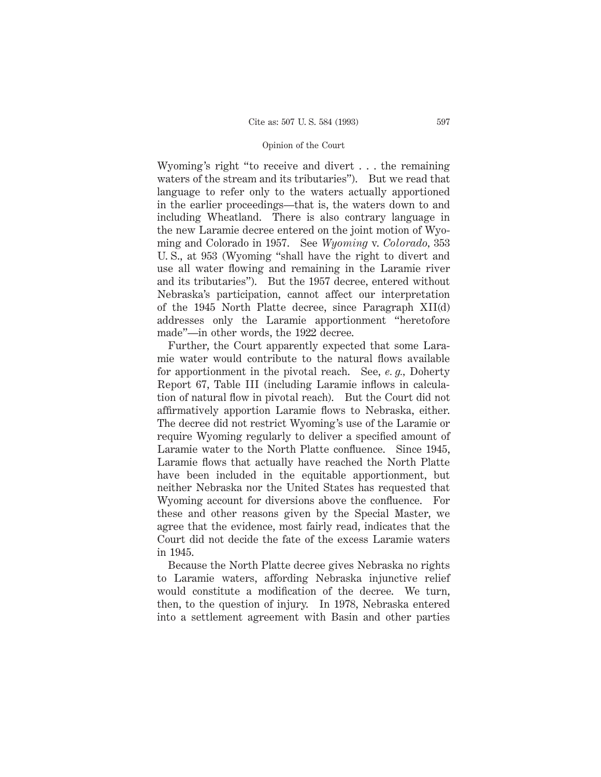Wyoming's right "to receive and divert . . . the remaining waters of the stream and its tributaries"). But we read that language to refer only to the waters actually apportioned in the earlier proceedings—that is, the waters down to and including Wheatland. There is also contrary language in the new Laramie decree entered on the joint motion of Wyoming and Colorado in 1957. See *Wyoming* v. *Colorado,* 353 U. S., at 953 (Wyoming "shall have the right to divert and use all water flowing and remaining in the Laramie river and its tributaries"). But the 1957 decree, entered without Nebraska's participation, cannot affect our interpretation of the 1945 North Platte decree, since Paragraph XII(d) addresses only the Laramie apportionment "heretofore made"—in other words, the 1922 decree.

Further, the Court apparently expected that some Laramie water would contribute to the natural flows available for apportionment in the pivotal reach. See, *e. g.,* Doherty Report 67, Table III (including Laramie inflows in calculation of natural flow in pivotal reach). But the Court did not affirmatively apportion Laramie flows to Nebraska, either. The decree did not restrict Wyoming's use of the Laramie or require Wyoming regularly to deliver a specified amount of Laramie water to the North Platte confluence. Since 1945, Laramie flows that actually have reached the North Platte have been included in the equitable apportionment, but neither Nebraska nor the United States has requested that Wyoming account for diversions above the confluence. For these and other reasons given by the Special Master, we agree that the evidence, most fairly read, indicates that the Court did not decide the fate of the excess Laramie waters in 1945.

Because the North Platte decree gives Nebraska no rights to Laramie waters, affording Nebraska injunctive relief would constitute a modification of the decree. We turn, then, to the question of injury. In 1978, Nebraska entered into a settlement agreement with Basin and other parties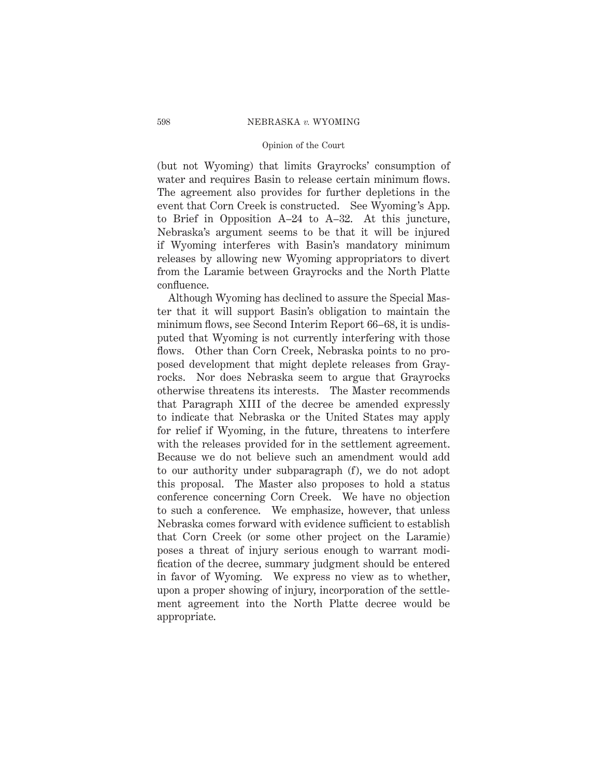## Opinion of the Court

(but not Wyoming) that limits Grayrocks' consumption of water and requires Basin to release certain minimum flows. The agreement also provides for further depletions in the event that Corn Creek is constructed. See Wyoming's App. to Brief in Opposition A–24 to A–32. At this juncture, Nebraska's argument seems to be that it will be injured if Wyoming interferes with Basin's mandatory minimum releases by allowing new Wyoming appropriators to divert from the Laramie between Grayrocks and the North Platte confluence.

Although Wyoming has declined to assure the Special Master that it will support Basin's obligation to maintain the minimum flows, see Second Interim Report 66–68, it is undisputed that Wyoming is not currently interfering with those flows. Other than Corn Creek, Nebraska points to no proposed development that might deplete releases from Grayrocks. Nor does Nebraska seem to argue that Grayrocks otherwise threatens its interests. The Master recommends that Paragraph XIII of the decree be amended expressly to indicate that Nebraska or the United States may apply for relief if Wyoming, in the future, threatens to interfere with the releases provided for in the settlement agreement. Because we do not believe such an amendment would add to our authority under subparagraph (f), we do not adopt this proposal. The Master also proposes to hold a status conference concerning Corn Creek. We have no objection to such a conference. We emphasize, however, that unless Nebraska comes forward with evidence sufficient to establish that Corn Creek (or some other project on the Laramie) poses a threat of injury serious enough to warrant modification of the decree, summary judgment should be entered in favor of Wyoming. We express no view as to whether, upon a proper showing of injury, incorporation of the settlement agreement into the North Platte decree would be appropriate.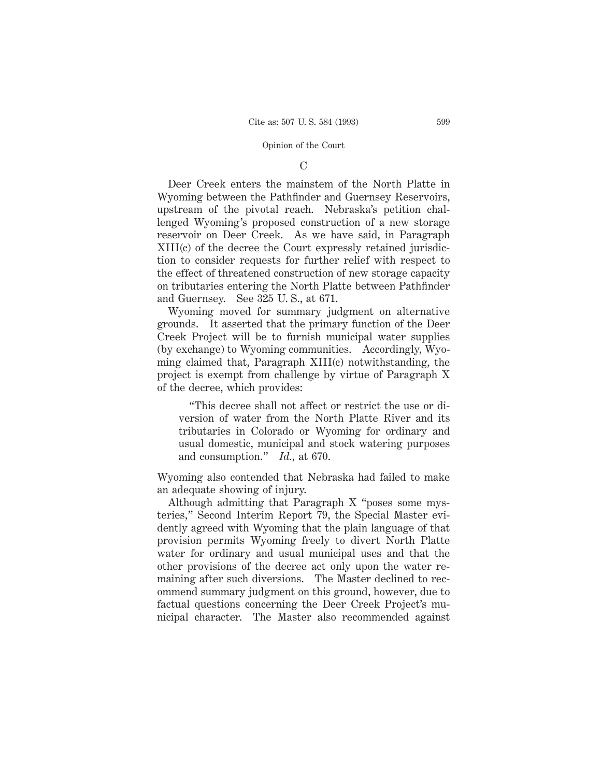# $\mathcal{C}$

Deer Creek enters the mainstem of the North Platte in Wyoming between the Pathfinder and Guernsey Reservoirs, upstream of the pivotal reach. Nebraska's petition challenged Wyoming's proposed construction of a new storage reservoir on Deer Creek. As we have said, in Paragraph XIII(c) of the decree the Court expressly retained jurisdiction to consider requests for further relief with respect to the effect of threatened construction of new storage capacity on tributaries entering the North Platte between Pathfinder and Guernsey. See 325 U. S., at 671.

Wyoming moved for summary judgment on alternative grounds. It asserted that the primary function of the Deer Creek Project will be to furnish municipal water supplies (by exchange) to Wyoming communities. Accordingly, Wyoming claimed that, Paragraph XIII(c) notwithstanding, the project is exempt from challenge by virtue of Paragraph X of the decree, which provides:

"This decree shall not affect or restrict the use or diversion of water from the North Platte River and its tributaries in Colorado or Wyoming for ordinary and usual domestic, municipal and stock watering purposes and consumption." *Id.,* at 670.

Wyoming also contended that Nebraska had failed to make an adequate showing of injury.

Although admitting that Paragraph X "poses some mysteries," Second Interim Report 79, the Special Master evidently agreed with Wyoming that the plain language of that provision permits Wyoming freely to divert North Platte water for ordinary and usual municipal uses and that the other provisions of the decree act only upon the water remaining after such diversions. The Master declined to recommend summary judgment on this ground, however, due to factual questions concerning the Deer Creek Project's municipal character. The Master also recommended against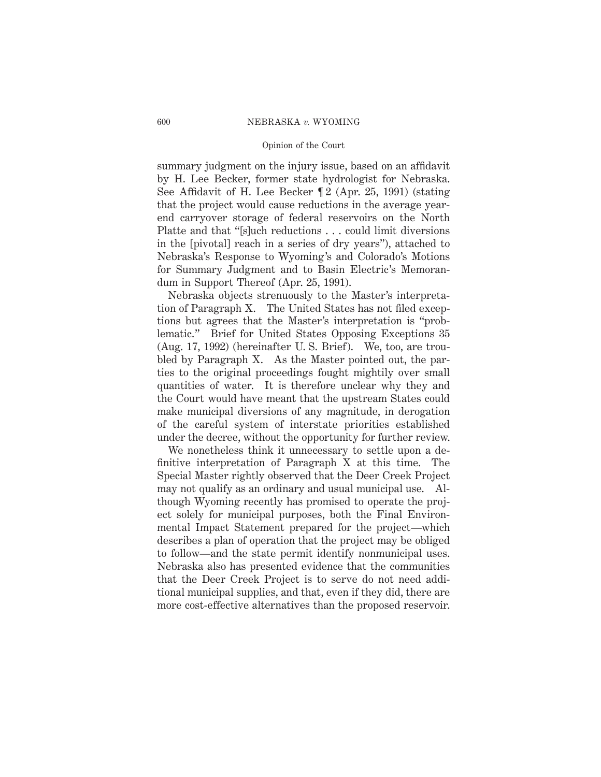## Opinion of the Court

summary judgment on the injury issue, based on an affidavit by H. Lee Becker, former state hydrologist for Nebraska. See Affidavit of H. Lee Becker  $[2 \text{ (Apr. 25, 1991) (stating$ that the project would cause reductions in the average yearend carryover storage of federal reservoirs on the North Platte and that "[s]uch reductions . . . could limit diversions in the [pivotal] reach in a series of dry years"), attached to Nebraska's Response to Wyoming's and Colorado's Motions for Summary Judgment and to Basin Electric's Memorandum in Support Thereof (Apr. 25, 1991).

Nebraska objects strenuously to the Master's interpretation of Paragraph X. The United States has not filed exceptions but agrees that the Master's interpretation is "problematic." Brief for United States Opposing Exceptions 35 (Aug. 17, 1992) (hereinafter U. S. Brief). We, too, are troubled by Paragraph X. As the Master pointed out, the parties to the original proceedings fought mightily over small quantities of water. It is therefore unclear why they and the Court would have meant that the upstream States could make municipal diversions of any magnitude, in derogation of the careful system of interstate priorities established under the decree, without the opportunity for further review.

We nonetheless think it unnecessary to settle upon a definitive interpretation of Paragraph X at this time. The Special Master rightly observed that the Deer Creek Project may not qualify as an ordinary and usual municipal use. Although Wyoming recently has promised to operate the project solely for municipal purposes, both the Final Environmental Impact Statement prepared for the project—which describes a plan of operation that the project may be obliged to follow—and the state permit identify nonmunicipal uses. Nebraska also has presented evidence that the communities that the Deer Creek Project is to serve do not need additional municipal supplies, and that, even if they did, there are more cost-effective alternatives than the proposed reservoir.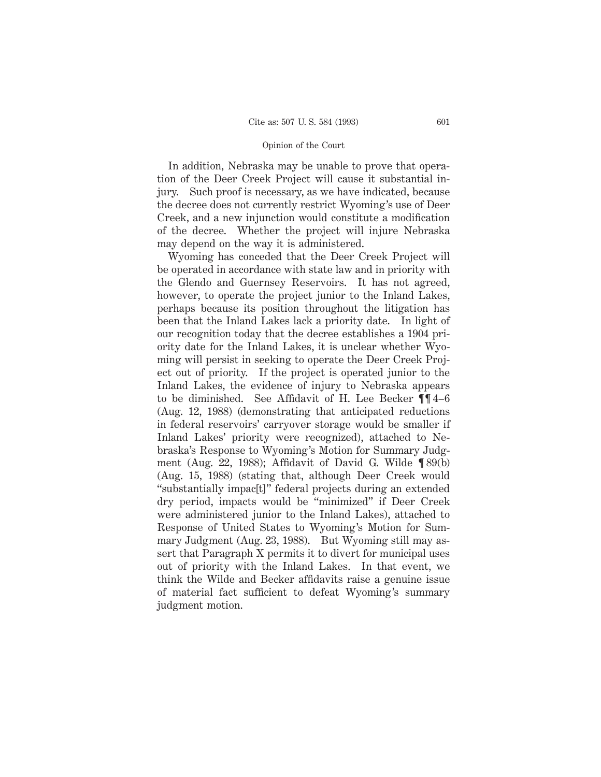In addition, Nebraska may be unable to prove that operation of the Deer Creek Project will cause it substantial injury. Such proof is necessary, as we have indicated, because the decree does not currently restrict Wyoming's use of Deer Creek, and a new injunction would constitute a modification of the decree. Whether the project will injure Nebraska may depend on the way it is administered.

Wyoming has conceded that the Deer Creek Project will be operated in accordance with state law and in priority with the Glendo and Guernsey Reservoirs. It has not agreed, however, to operate the project junior to the Inland Lakes, perhaps because its position throughout the litigation has been that the Inland Lakes lack a priority date. In light of our recognition today that the decree establishes a 1904 priority date for the Inland Lakes, it is unclear whether Wyoming will persist in seeking to operate the Deer Creek Project out of priority. If the project is operated junior to the Inland Lakes, the evidence of injury to Nebraska appears to be diminished. See Affidavit of H. Lee Becker ¶¶ 4–6 (Aug. 12, 1988) (demonstrating that anticipated reductions in federal reservoirs' carryover storage would be smaller if Inland Lakes' priority were recognized), attached to Nebraska's Response to Wyoming's Motion for Summary Judgment (Aug. 22, 1988); Affidavit of David G. Wilde ¶ 89(b) (Aug. 15, 1988) (stating that, although Deer Creek would "substantially impac[t]" federal projects during an extended dry period, impacts would be "minimized" if Deer Creek were administered junior to the Inland Lakes), attached to Response of United States to Wyoming's Motion for Summary Judgment (Aug. 23, 1988). But Wyoming still may assert that Paragraph X permits it to divert for municipal uses out of priority with the Inland Lakes. In that event, we think the Wilde and Becker affidavits raise a genuine issue of material fact sufficient to defeat Wyoming's summary judgment motion.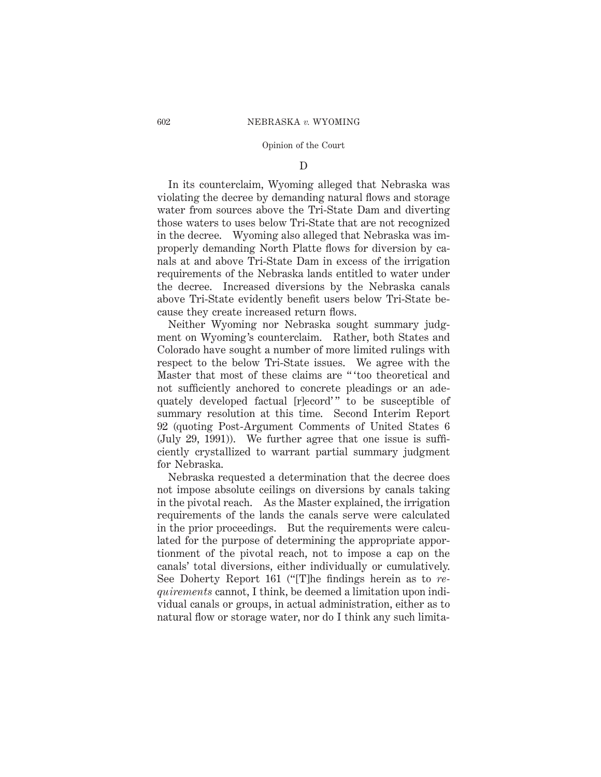# D

In its counterclaim, Wyoming alleged that Nebraska was violating the decree by demanding natural flows and storage water from sources above the Tri-State Dam and diverting those waters to uses below Tri-State that are not recognized in the decree. Wyoming also alleged that Nebraska was improperly demanding North Platte flows for diversion by canals at and above Tri-State Dam in excess of the irrigation requirements of the Nebraska lands entitled to water under the decree. Increased diversions by the Nebraska canals above Tri-State evidently benefit users below Tri-State because they create increased return flows.

Neither Wyoming nor Nebraska sought summary judgment on Wyoming's counterclaim. Rather, both States and Colorado have sought a number of more limited rulings with respect to the below Tri-State issues. We agree with the Master that most of these claims are " 'too theoretical and not sufficiently anchored to concrete pleadings or an adequately developed factual [r]ecord'" to be susceptible of summary resolution at this time. Second Interim Report 92 (quoting Post-Argument Comments of United States 6 (July 29, 1991)). We further agree that one issue is sufficiently crystallized to warrant partial summary judgment for Nebraska.

Nebraska requested a determination that the decree does not impose absolute ceilings on diversions by canals taking in the pivotal reach. As the Master explained, the irrigation requirements of the lands the canals serve were calculated in the prior proceedings. But the requirements were calculated for the purpose of determining the appropriate apportionment of the pivotal reach, not to impose a cap on the canals' total diversions, either individually or cumulatively. See Doherty Report 161 ("[T]he findings herein as to *requirements* cannot, I think, be deemed a limitation upon individual canals or groups, in actual administration, either as to natural flow or storage water, nor do I think any such limita-